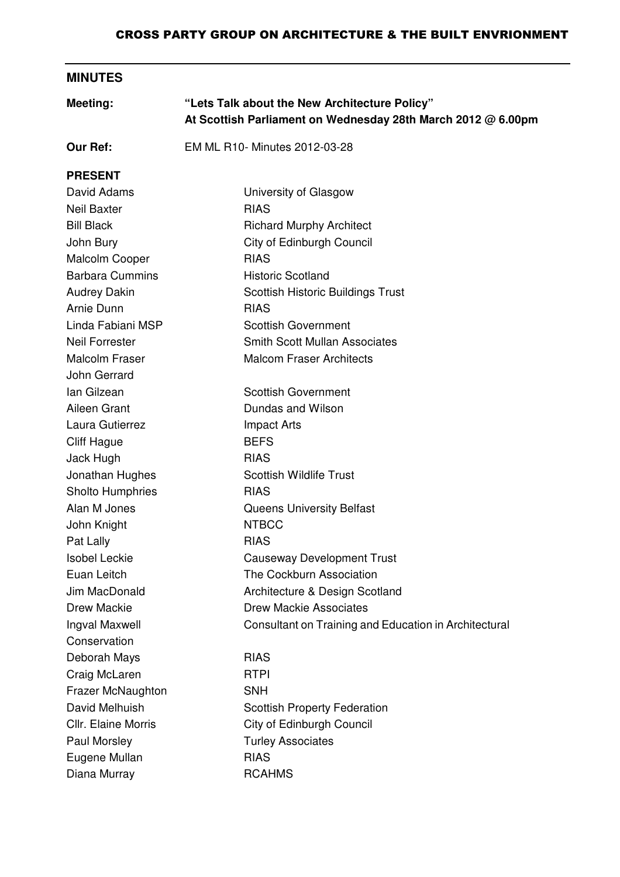#### CROSS PARTY GROUP ON ARCHITECTURE & THE BUILT ENVRIONMENT

# **MINUTES**

| Meeting:                   | "Lets Talk about the New Architecture Policy"<br>At Scottish Parliament on Wednesday 28th March 2012 @ 6.00pm |  |
|----------------------------|---------------------------------------------------------------------------------------------------------------|--|
| <b>Our Ref:</b>            | EM ML R10- Minutes 2012-03-28                                                                                 |  |
| <b>PRESENT</b>             |                                                                                                               |  |
| David Adams                | University of Glasgow                                                                                         |  |
| <b>Neil Baxter</b>         | <b>RIAS</b>                                                                                                   |  |
| <b>Bill Black</b>          | <b>Richard Murphy Architect</b>                                                                               |  |
| John Bury                  | City of Edinburgh Council                                                                                     |  |
| Malcolm Cooper             | <b>RIAS</b>                                                                                                   |  |
| <b>Barbara Cummins</b>     | <b>Historic Scotland</b>                                                                                      |  |
| <b>Audrey Dakin</b>        | <b>Scottish Historic Buildings Trust</b>                                                                      |  |
| Arnie Dunn                 | <b>RIAS</b>                                                                                                   |  |
| Linda Fabiani MSP          | <b>Scottish Government</b>                                                                                    |  |
| <b>Neil Forrester</b>      | <b>Smith Scott Mullan Associates</b>                                                                          |  |
| <b>Malcolm Fraser</b>      | <b>Malcom Fraser Architects</b>                                                                               |  |
| John Gerrard               |                                                                                                               |  |
| lan Gilzean                | <b>Scottish Government</b>                                                                                    |  |
| Aileen Grant               | Dundas and Wilson                                                                                             |  |
| Laura Gutierrez            | <b>Impact Arts</b>                                                                                            |  |
| <b>Cliff Hague</b>         | <b>BEFS</b>                                                                                                   |  |
| Jack Hugh                  | <b>RIAS</b>                                                                                                   |  |
| Jonathan Hughes            | <b>Scottish Wildlife Trust</b>                                                                                |  |
| <b>Sholto Humphries</b>    | <b>RIAS</b>                                                                                                   |  |
| Alan M Jones               | <b>Queens University Belfast</b>                                                                              |  |
| John Knight                | <b>NTBCC</b>                                                                                                  |  |
| Pat Lally                  | <b>RIAS</b>                                                                                                   |  |
| <b>Isobel Leckie</b>       | <b>Causeway Development Trust</b>                                                                             |  |
| Euan Leitch                | The Cockburn Association                                                                                      |  |
| Jim MacDonald              | Architecture & Design Scotland                                                                                |  |
| <b>Drew Mackie</b>         | <b>Drew Mackie Associates</b>                                                                                 |  |
| Ingval Maxwell             | Consultant on Training and Education in Architectural                                                         |  |
| Conservation               |                                                                                                               |  |
| Deborah Mays               | <b>RIAS</b>                                                                                                   |  |
| Craig McLaren              | <b>RTPI</b>                                                                                                   |  |
| <b>Frazer McNaughton</b>   | <b>SNH</b>                                                                                                    |  |
| David Melhuish             | <b>Scottish Property Federation</b>                                                                           |  |
| <b>Cllr. Elaine Morris</b> | City of Edinburgh Council                                                                                     |  |
| Paul Morsley               | <b>Turley Associates</b>                                                                                      |  |
| Eugene Mullan              | <b>RIAS</b>                                                                                                   |  |
| Diana Murray               | <b>RCAHMS</b>                                                                                                 |  |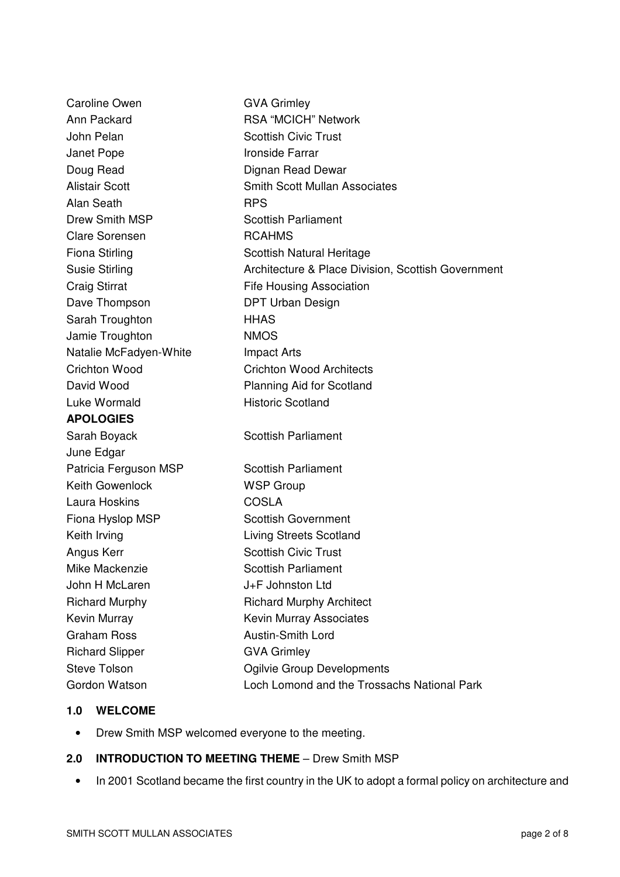| <b>Caroline Owen</b>   | <b>GVA Grimley</b>                                 |
|------------------------|----------------------------------------------------|
| Ann Packard            | <b>RSA "MCICH" Network</b>                         |
| John Pelan             | <b>Scottish Civic Trust</b>                        |
| Janet Pope             | <b>Ironside Farrar</b>                             |
| Doug Read              | Dignan Read Dewar                                  |
| <b>Alistair Scott</b>  | <b>Smith Scott Mullan Associates</b>               |
| Alan Seath             | <b>RPS</b>                                         |
| Drew Smith MSP         | <b>Scottish Parliament</b>                         |
| <b>Clare Sorensen</b>  | <b>RCAHMS</b>                                      |
| <b>Fiona Stirling</b>  | <b>Scottish Natural Heritage</b>                   |
| <b>Susie Stirling</b>  | Architecture & Place Division, Scottish Government |
| <b>Craig Stirrat</b>   | <b>Fife Housing Association</b>                    |
| Dave Thompson          | <b>DPT Urban Design</b>                            |
| Sarah Troughton        | <b>HHAS</b>                                        |
| Jamie Troughton        | <b>NMOS</b>                                        |
| Natalie McFadyen-White | <b>Impact Arts</b>                                 |
| <b>Crichton Wood</b>   | <b>Crichton Wood Architects</b>                    |
| David Wood             | <b>Planning Aid for Scotland</b>                   |
| Luke Wormald           | <b>Historic Scotland</b>                           |
| <b>APOLOGIES</b>       |                                                    |
| Sarah Boyack           | <b>Scottish Parliament</b>                         |
| June Edgar             |                                                    |
| Patricia Ferguson MSP  | <b>Scottish Parliament</b>                         |
| <b>Keith Gowenlock</b> | <b>WSP Group</b>                                   |
| Laura Hoskins          | <b>COSLA</b>                                       |
| Fiona Hyslop MSP       | <b>Scottish Government</b>                         |
| Keith Irving           | <b>Living Streets Scotland</b>                     |
| Angus Kerr             | <b>Scottish Civic Trust</b>                        |
| Mike Mackenzie         | <b>Scottish Parliament</b>                         |
| John H McLaren         | J+F Johnston Ltd                                   |
| <b>Richard Murphy</b>  | <b>Richard Murphy Architect</b>                    |
| Kevin Murray           | Kevin Murray Associates                            |
| <b>Graham Ross</b>     | <b>Austin-Smith Lord</b>                           |
| <b>Richard Slipper</b> | <b>GVA Grimley</b>                                 |
| <b>Steve Tolson</b>    | Ogilvie Group Developments                         |
| Gordon Watson          | Loch Lomond and the Trossachs National Park        |

# **1.0 WELCOME**

• Drew Smith MSP welcomed everyone to the meeting.

## **2.0 INTRODUCTION TO MEETING THEME** – Drew Smith MSP

• In 2001 Scotland became the first country in the UK to adopt a formal policy on architecture and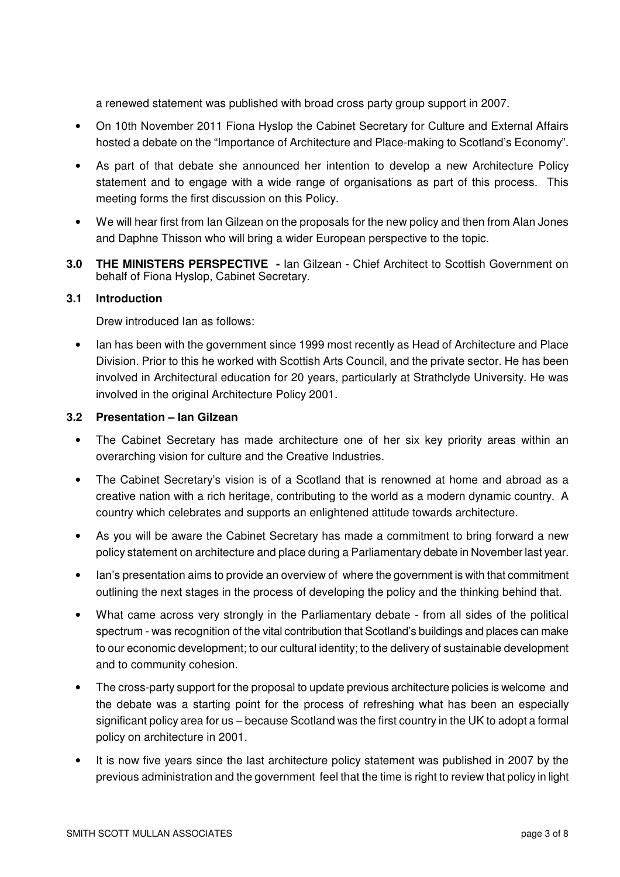a renewed statement was published with broad cross party group support in 2007.

- On 10th November 2011 Fiona Hyslop the Cabinet Secretary for Culture and External Affairs hosted a debate on the "Importance of Architecture and Place-making to Scotland's Economy".
- As part of that debate she announced her intention to develop a new Architecture Policy statement and to engage with a wide range of organisations as part of this process. This meeting forms the first discussion on this Policy.
- We will hear first from Ian Gilzean on the proposals for the new policy and then from Alan Jones and Daphne Thisson who will bring a wider European perspective to the topic.
- **3.0 THE MINISTERS PERSPECTIVE -** Ian Gilzean Chief Architect to Scottish Government on behalf of Fiona Hyslop, Cabinet Secretary.

#### **3.1 Introduction**

Drew introduced Ian as follows:

• Ian has been with the government since 1999 most recently as Head of Architecture and Place Division. Prior to this he worked with Scottish Arts Council, and the private sector. He has been involved in Architectural education for 20 years, particularly at Strathclyde University. He was involved in the original Architecture Policy 2001.

## **3.2 Presentation – Ian Gilzean**

- The Cabinet Secretary has made architecture one of her six key priority areas within an overarching vision for culture and the Creative Industries.
- The Cabinet Secretary's vision is of a Scotland that is renowned at home and abroad as a creative nation with a rich heritage, contributing to the world as a modern dynamic country. A country which celebrates and supports an enlightened attitude towards architecture.
- As you will be aware the Cabinet Secretary has made a commitment to bring forward a new policy statement on architecture and place during a Parliamentary debate in November last year.
- Ian's presentation aims to provide an overview of where the government is with that commitment outlining the next stages in the process of developing the policy and the thinking behind that.
- What came across very strongly in the Parliamentary debate from all sides of the political spectrum - was recognition of the vital contribution that Scotland's buildings and places can make to our economic development; to our cultural identity; to the delivery of sustainable development and to community cohesion.
- The cross-party support for the proposal to update previous architecture policies is welcome and the debate was a starting point for the process of refreshing what has been an especially significant policy area for us – because Scotland was the first country in the UK to adopt a formal policy on architecture in 2001.
- It is now five years since the last architecture policy statement was published in 2007 by the previous administration and the government feel that the time is right to review that policy in light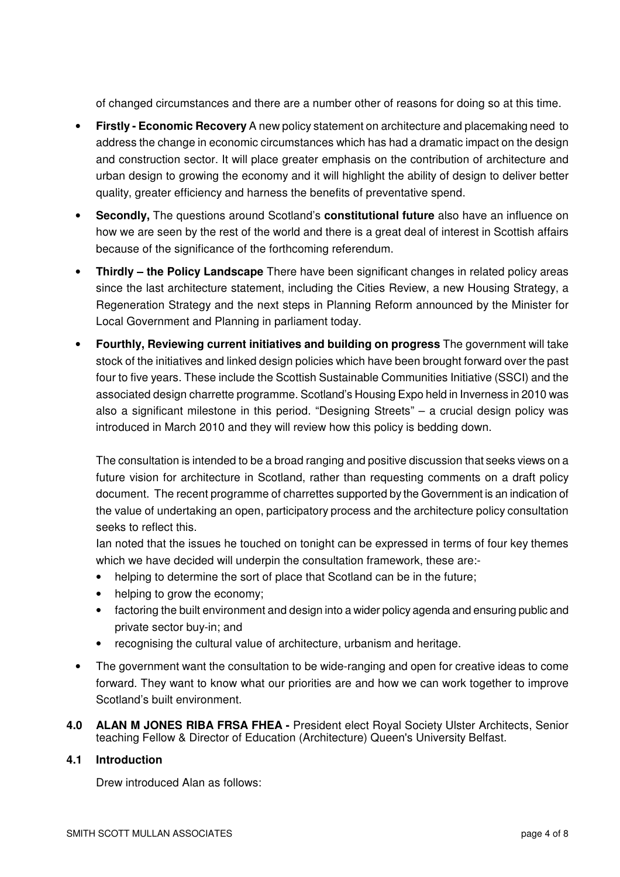of changed circumstances and there are a number other of reasons for doing so at this time.

- **Firstly - Economic Recovery** A new policy statement on architecture and placemaking need to address the change in economic circumstances which has had a dramatic impact on the design and construction sector. It will place greater emphasis on the contribution of architecture and urban design to growing the economy and it will highlight the ability of design to deliver better quality, greater efficiency and harness the benefits of preventative spend.
- **Secondly,** The questions around Scotland's **constitutional future** also have an influence on how we are seen by the rest of the world and there is a great deal of interest in Scottish affairs because of the significance of the forthcoming referendum.
- **Thirdly – the Policy Landscape** There have been significant changes in related policy areas since the last architecture statement, including the Cities Review, a new Housing Strategy, a Regeneration Strategy and the next steps in Planning Reform announced by the Minister for Local Government and Planning in parliament today.
- **Fourthly, Reviewing current initiatives and building on progress** The government will take stock of the initiatives and linked design policies which have been brought forward over the past four to five years. These include the Scottish Sustainable Communities Initiative (SSCI) and the associated design charrette programme. Scotland's Housing Expo held in Inverness in 2010 was also a significant milestone in this period. "Designing Streets" – a crucial design policy was introduced in March 2010 and they will review how this policy is bedding down.

The consultation is intended to be a broad ranging and positive discussion that seeks views on a future vision for architecture in Scotland, rather than requesting comments on a draft policy document. The recent programme of charrettes supported by the Government is an indication of the value of undertaking an open, participatory process and the architecture policy consultation seeks to reflect this.

Ian noted that the issues he touched on tonight can be expressed in terms of four key themes which we have decided will underpin the consultation framework, these are:-

- helping to determine the sort of place that Scotland can be in the future;
- helping to grow the economy;
- factoring the built environment and design into a wider policy agenda and ensuring public and private sector buy-in; and
- recognising the cultural value of architecture, urbanism and heritage.
- The government want the consultation to be wide-ranging and open for creative ideas to come forward. They want to know what our priorities are and how we can work together to improve Scotland's built environment.
- **4.0 ALAN M JONES RIBA FRSA FHEA -** President elect Royal Society Ulster Architects, Senior teaching Fellow & Director of Education (Architecture) Queen's University Belfast.

#### **4.1 Introduction**

Drew introduced Alan as follows: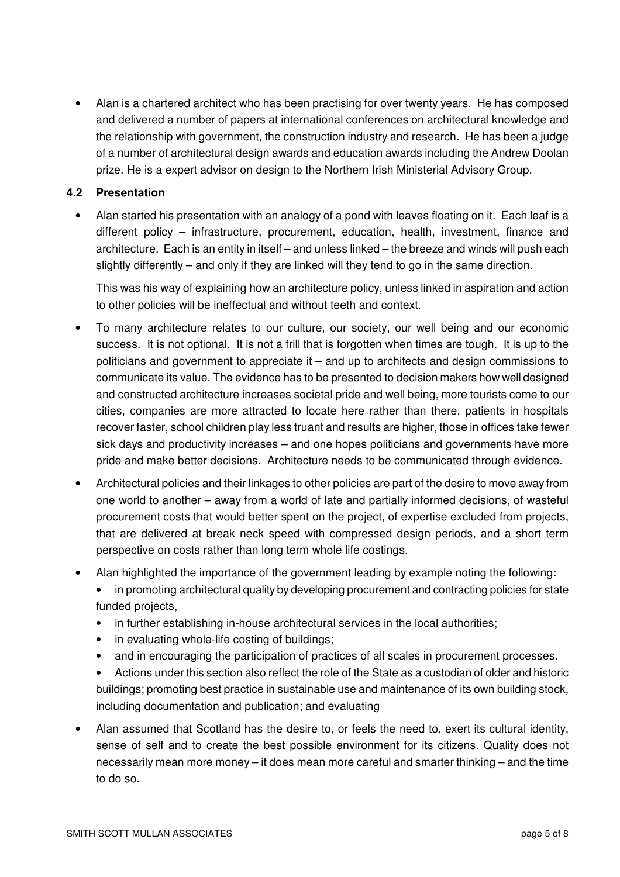• Alan is a chartered architect who has been practising for over twenty years. He has composed and delivered a number of papers at international conferences on architectural knowledge and the relationship with government, the construction industry and research. He has been a judge of a number of architectural design awards and education awards including the Andrew Doolan prize. He is a expert advisor on design to the Northern Irish Ministerial Advisory Group.

# **4.2 Presentation**

• Alan started his presentation with an analogy of a pond with leaves floating on it. Each leaf is a different policy – infrastructure, procurement, education, health, investment, finance and architecture. Each is an entity in itself – and unless linked – the breeze and winds will push each slightly differently – and only if they are linked will they tend to go in the same direction.

This was his way of explaining how an architecture policy, unless linked in aspiration and action to other policies will be ineffectual and without teeth and context.

- To many architecture relates to our culture, our society, our well being and our economic success. It is not optional. It is not a frill that is forgotten when times are tough. It is up to the politicians and government to appreciate it – and up to architects and design commissions to communicate its value. The evidence has to be presented to decision makers how well designed and constructed architecture increases societal pride and well being, more tourists come to our cities, companies are more attracted to locate here rather than there, patients in hospitals recover faster, school children play less truant and results are higher, those in offices take fewer sick days and productivity increases – and one hopes politicians and governments have more pride and make better decisions. Architecture needs to be communicated through evidence.
- Architectural policies and their linkages to other policies are part of the desire to move away from one world to another – away from a world of late and partially informed decisions, of wasteful procurement costs that would better spent on the project, of expertise excluded from projects, that are delivered at break neck speed with compressed design periods, and a short term perspective on costs rather than long term whole life costings.
- Alan highlighted the importance of the government leading by example noting the following:
	- in promoting architectural quality by developing procurement and contracting policies for state funded projects,
	- in further establishing in-house architectural services in the local authorities;
	- in evaluating whole-life costing of buildings;
	- and in encouraging the participation of practices of all scales in procurement processes.
	- Actions under this section also reflect the role of the State as a custodian of older and historic buildings; promoting best practice in sustainable use and maintenance of its own building stock, including documentation and publication; and evaluating
- Alan assumed that Scotland has the desire to, or feels the need to, exert its cultural identity, sense of self and to create the best possible environment for its citizens. Quality does not necessarily mean more money – it does mean more careful and smarter thinking – and the time to do so.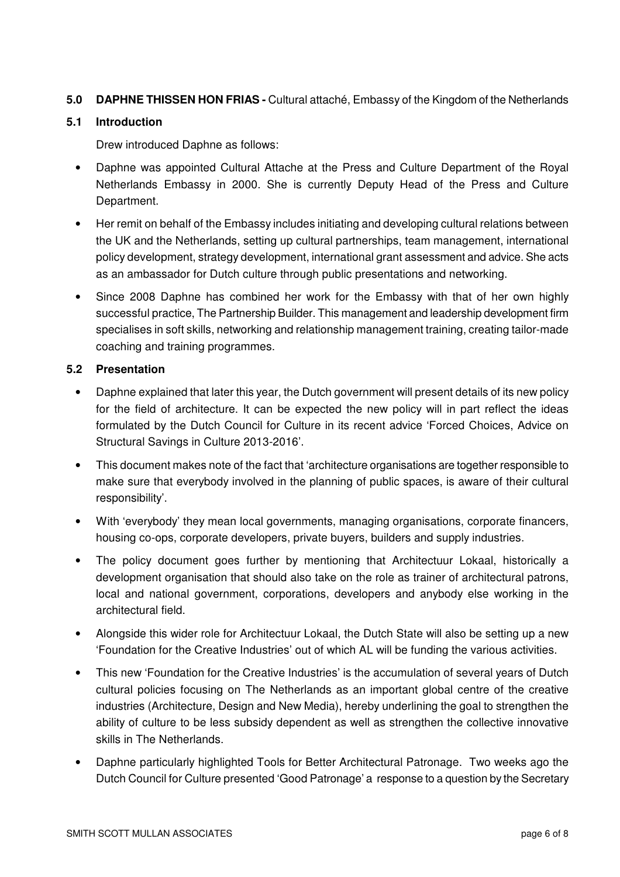# **5.0 DAPHNE THISSEN HON FRIAS -** Cultural attaché, Embassy of the Kingdom of the Netherlands

#### **5.1 Introduction**

Drew introduced Daphne as follows:

- Daphne was appointed Cultural Attache at the Press and Culture Department of the Royal Netherlands Embassy in 2000. She is currently Deputy Head of the Press and Culture Department.
- Her remit on behalf of the Embassy includes initiating and developing cultural relations between the UK and the Netherlands, setting up cultural partnerships, team management, international policy development, strategy development, international grant assessment and advice. She acts as an ambassador for Dutch culture through public presentations and networking.
- Since 2008 Daphne has combined her work for the Embassy with that of her own highly successful practice, The Partnership Builder. This management and leadership development firm specialises in soft skills, networking and relationship management training, creating tailor-made coaching and training programmes.

# **5.2 Presentation**

- Daphne explained that later this year, the Dutch government will present details of its new policy for the field of architecture. It can be expected the new policy will in part reflect the ideas formulated by the Dutch Council for Culture in its recent advice 'Forced Choices, Advice on Structural Savings in Culture 2013-2016'.
- This document makes note of the fact that 'architecture organisations are together responsible to make sure that everybody involved in the planning of public spaces, is aware of their cultural responsibility'.
- With 'everybody' they mean local governments, managing organisations, corporate financers, housing co-ops, corporate developers, private buyers, builders and supply industries.
- The policy document goes further by mentioning that Architectuur Lokaal, historically a development organisation that should also take on the role as trainer of architectural patrons, local and national government, corporations, developers and anybody else working in the architectural field.
- Alongside this wider role for Architectuur Lokaal, the Dutch State will also be setting up a new 'Foundation for the Creative Industries' out of which AL will be funding the various activities.
- This new 'Foundation for the Creative Industries' is the accumulation of several years of Dutch cultural policies focusing on The Netherlands as an important global centre of the creative industries (Architecture, Design and New Media), hereby underlining the goal to strengthen the ability of culture to be less subsidy dependent as well as strengthen the collective innovative skills in The Netherlands.
- Daphne particularly highlighted Tools for Better Architectural Patronage. Two weeks ago the Dutch Council for Culture presented 'Good Patronage' a response to a question by the Secretary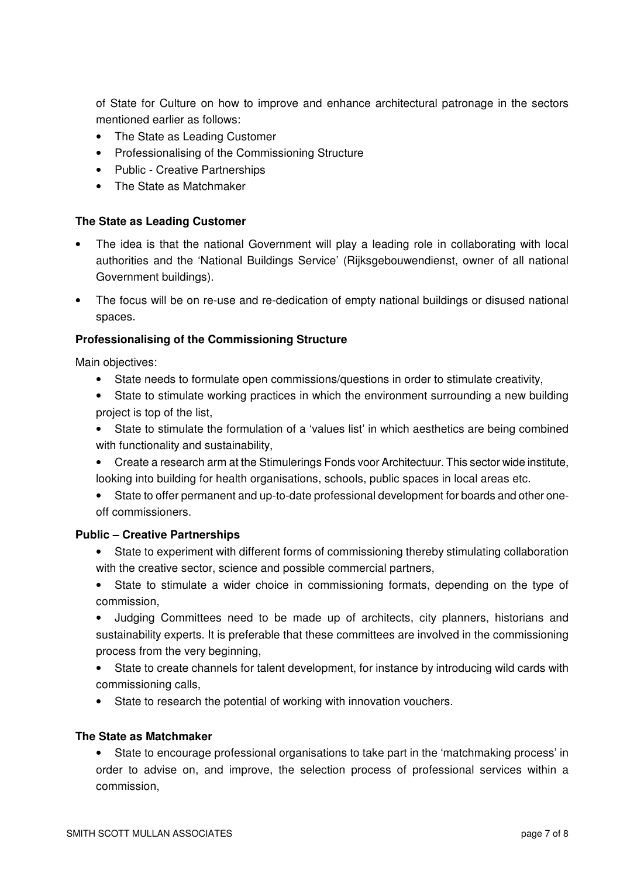of State for Culture on how to improve and enhance architectural patronage in the sectors mentioned earlier as follows:

- The State as Leading Customer
- Professionalising of the Commissioning Structure
- Public Creative Partnerships
- The State as Matchmaker

# **The State as Leading Customer**

- The idea is that the national Government will play a leading role in collaborating with local authorities and the 'National Buildings Service' (Rijksgebouwendienst, owner of all national Government buildings).
- The focus will be on re-use and re-dedication of empty national buildings or disused national spaces.

# **Professionalising of the Commissioning Structure**

Main objectives:

- State needs to formulate open commissions/questions in order to stimulate creativity,
- State to stimulate working practices in which the environment surrounding a new building project is top of the list,
- State to stimulate the formulation of a 'values list' in which aesthetics are being combined with functionality and sustainability,
- Create a research arm at the Stimulerings Fonds voor Architectuur. This sector wide institute, looking into building for health organisations, schools, public spaces in local areas etc.
- State to offer permanent and up-to-date professional development for boards and other oneoff commissioners.

#### **Public – Creative Partnerships**

- State to experiment with different forms of commissioning thereby stimulating collaboration with the creative sector, science and possible commercial partners,
- State to stimulate a wider choice in commissioning formats, depending on the type of commission,
- Judging Committees need to be made up of architects, city planners, historians and sustainability experts. It is preferable that these committees are involved in the commissioning process from the very beginning,
- State to create channels for talent development, for instance by introducing wild cards with commissioning calls,
- State to research the potential of working with innovation vouchers.

# **The State as Matchmaker**

• State to encourage professional organisations to take part in the 'matchmaking process' in order to advise on, and improve, the selection process of professional services within a commission,